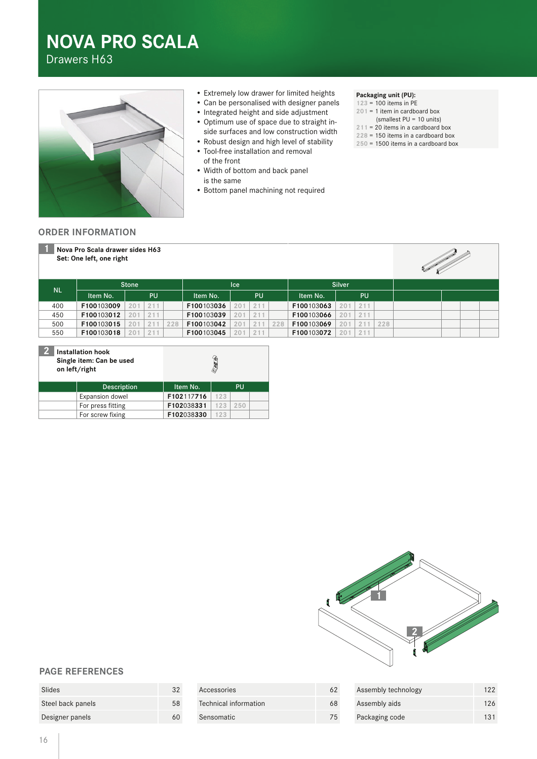# **NOVA PRO SCALA**

Drawers H63



- Extremely low drawer for limited heights
- Can be personalised with designer panels
- Integrated height and side adjustment
- Optimum use of space due to straight inside surfaces and low construction width
- Robust design and high level of stability • Tool-free installation and removal
- of the front
- Width of bottom and back panel is the same
- Bottom panel machining not required

#### **Packaging unit (PU):**

- **123** = 100 items in PE
- **201** = 1 item in cardboard box
- (smallest PU = 10 units)
- **211** = 20 items in a cardboard box
- **228** = 150 items in a cardboard box
- **250** = 1500 items in a cardboard box

### **ORDER INFORMATION**



| D.<br><b>Installation hook</b><br>Single item: Can be used<br>on left/right |                    | ð          |     |     |  |
|-----------------------------------------------------------------------------|--------------------|------------|-----|-----|--|
|                                                                             | <b>Description</b> | Item No.   |     | PU  |  |
|                                                                             | Expansion dowel    | F102117716 | 123 |     |  |
|                                                                             | For press fitting  | F102038331 | 123 | 250 |  |
|                                                                             | For screw fixing   | F102038330 | 123 |     |  |



# **PAGE REFERENCES**

| Slides            | 32 |
|-------------------|----|
| Steel back panels | 58 |
| Designer panels   | 60 |

| Accessories           | 62 |
|-----------------------|----|
| Technical information | 68 |
| Sensomatic            | 75 |

| Assembly technology | 122 |
|---------------------|-----|
| Assembly aids       | 126 |
| Packaging code      | 131 |